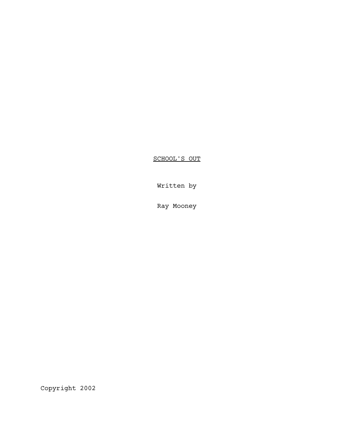SCHOOL'S OUT

Written by

Ray Mooney

Copyright 2002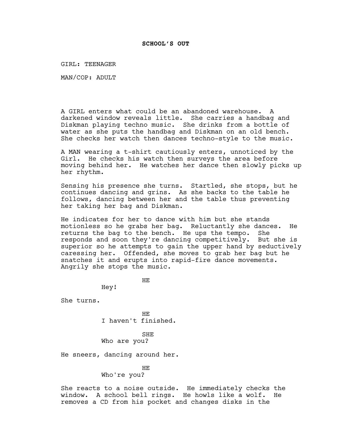GIRL: TEENAGER

MAN/COP: ADULT

A GIRL enters what could be an abandoned warehouse. A darkened window reveals little. She carries a handbag and Diskman playing techno music. She drinks from a bottle of water as she puts the handbag and Diskman on an old bench. She checks her watch then dances techno-style to the music.

A MAN wearing a t-shirt cautiously enters, unnoticed by the Girl. He checks his watch then surveys the area before moving behind her. He watches her dance then slowly picks up her rhythm.

Sensing his presence she turns. Startled, she stops, but he continues dancing and grins. As she backs to the table he follows, dancing between her and the table thus preventing her taking her bag and Diskman.

He indicates for her to dance with him but she stands motionless so he grabs her bag. Reluctantly she dances. He returns the bag to the bench. He ups the tempo. She responds and soon they're dancing competitively. But she is superior so he attempts to gain the upper hand by seductively caressing her. Offended, she moves to grab her bag but he snatches it and erupts into rapid-fire dance movements. Angrily she stops the music.

HE

Hey!

She turns.

HE I haven't finished.

SHE Who are you?

He sneers, dancing around her.

HE Who're you?

She reacts to a noise outside. He immediately checks the window. A school bell rings. He howls like a wolf. He removes a CD from his pocket and changes disks in the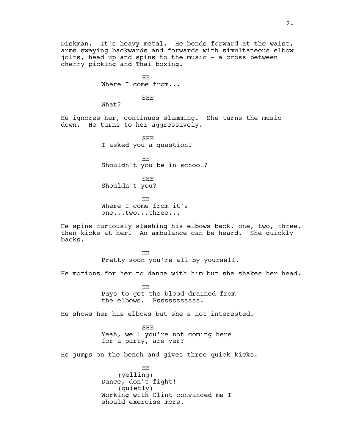Diskman. It's heavy metal. He bends forward at the waist, arms swaying backwards and forwards with simultaneous elbow jolts, head up and spins to the music - a cross between cherry picking and Thai boxing.

> HE Where I come from...

> > SHE

What?

He ignores her, continues slamming. She turns the music down. He turns to her aggressively.

> SHE I asked you a question!

HE Shouldn't you be in school?

SHE Shouldn't you?

HE Where I come from it's one...two...three...

He spins furiously slashing his elbows back, one, two, three, then kicks at her. An ambulance can be heard. She quickly backs.

> HE Pretty soon you're all by yourself.

He motions for her to dance with him but she shakes her head.

HE Pays to get the blood drained from the elbows. Psssssssssss.

He shows her his elbows but she's not interested.

SHE Yeah, well you're not coming here for a party, are yer?

He jumps on the bench and gives three quick kicks.

HE (yelling) Dance, don't fight! (quietly) Working with Clint convinced me I should exercise more.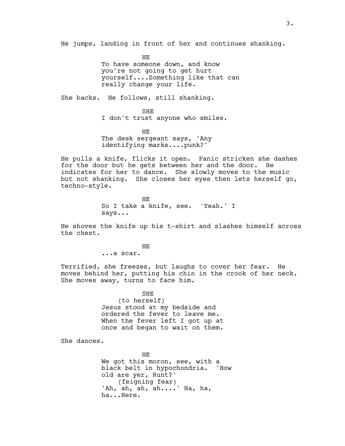He jumps, landing in front of her and continues shanking.

HE To have someone down, and know you're not going to get hurt yourself....Something like that can really change your life.

She backs. He follows, still shanking.

SHE I don't trust anyone who smiles.

HE The desk sergeant says, 'Any identifying marks....punk?'

He pulls a knife, flicks it open. Panic stricken she dashes for the door but he gets between her and the door. He indicates for her to dance. She slowly moves to the music but not shanking. She closes her eyes then lets herself go, techno-style.

> HE So I take a knife, see. 'Yeah.' I says...

He shoves the knife up his t-shirt and slashes himself across the chest.

> HE ...a scar.

Terrified, she freezes, but laughs to cover her fear. He moves behind her, putting his chin in the crook of her neck. She moves away, turns to face him.

> SHE (to herself) Jesus stood at my bedside and ordered the fever to leave me. When the fever left I got up at once and began to wait on them.

She dances.

HE We got this moron, see, with a black belt in hypochondria. 'How old are yer, Runt?' (feigning fear) 'Ah, ah, ah, ah....' Ha, ha, ha...Here.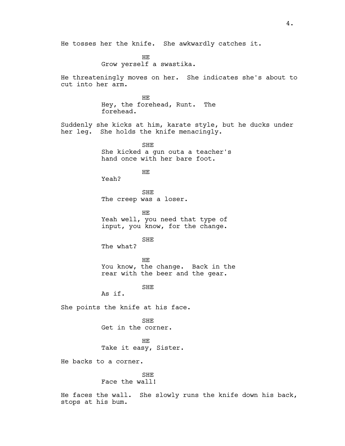HE Grow yerself a swastika.

He threateningly moves on her. She indicates she's about to cut into her arm.

> HE Hey, the forehead, Runt. The forehead.

Suddenly she kicks at him, karate style, but he ducks under her leg. She holds the knife menacingly.

> SHE She kicked a gun outa a teacher's hand once with her bare foot.

> > HE

Yeah?

SHE The creep was a loser.

HE Yeah well, you need that type of input, you know, for the change.

SHE

The what?

HE You know, the change. Back in the rear with the beer and the gear.

SHE

As if.

She points the knife at his face.

SHE Get in the corner.

HE Take it easy, Sister.

He backs to a corner.

## SHE

Face the wall!

He faces the wall. She slowly runs the knife down his back, stops at his bum.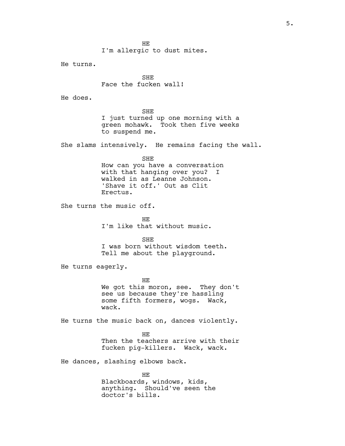HE I'm allergic to dust mites.

He turns.

SHE Face the fucken wall!

He does.

SHE I just turned up one morning with a green mohawk. Took then five weeks to suspend me.

She slams intensively. He remains facing the wall.

SHE How can you have a conversation with that hanging over you? I walked in as Leanne Johnson. 'Shave it off.' Out as Clit Erectus.

She turns the music off.

HE I'm like that without music.

SHE I was born without wisdom teeth. Tell me about the playground.

He turns eagerly.

HE We got this moron, see. They don't see us because they're hassling some fifth formers, wogs. Wack, wack.

He turns the music back on, dances violently.

HE Then the teachers arrive with their fucken pig-killers. Wack, wack.

He dances, slashing elbows back.

HE Blackboards, windows, kids, anything. Should've seen the doctor's bills.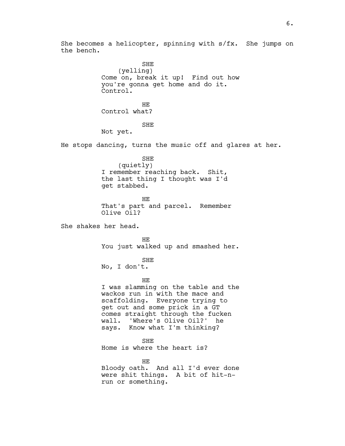She becomes a helicopter, spinning with s/fx. She jumps on the bench.

SHE (yelling) Come on, break it up! Find out how you're gonna get home and do it. Control. HE Control what? SHE Not yet. He stops dancing, turns the music off and glares at her. SHE (quietly) I remember reaching back. Shit, the last thing I thought was I'd get stabbed. HE That's part and parcel. Remember Olive Oil? She shakes her head. HE You just walked up and smashed her. SHE No, I don't. HE I was slamming on the table and the wackos run in with the mace and scaffolding. Everyone trying to get out and some prick in a GT comes straight through the fucken wall. 'Where's Olive Oil?' he says. Know what I'm thinking? SHE Home is where the heart is? HE Bloody oath. And all I'd ever done were shit things. A bit of hit-nrun or something.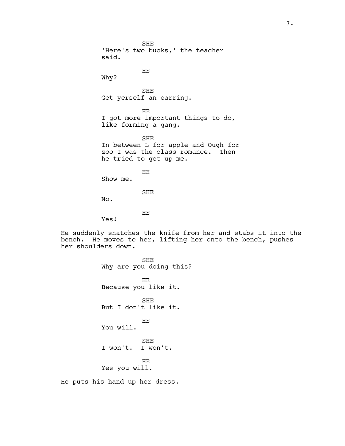SHE 'Here's two bucks,' the teacher said. HE Why? SHE Get yerself an earring. HE I got more important things to do, like forming a gang. SHE In between L for apple and Ough for zoo I was the class romance. Then he tried to get up me. HE Show me. SHE No. HE

Yes!

He suddenly snatches the knife from her and stabs it into the bench. He moves to her, lifting her onto the bench, pushes her shoulders down.

SHE Why are you doing this? HE Because you like it. SHE But I don't like it. HE You will. SHE I won't. I won't. HE Yes you will.

He puts his hand up her dress.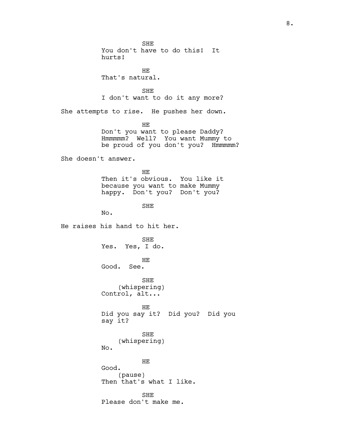SHE You don't have to do this! It hurts! HE That's natural. SHE I don't want to do it any more? She attempts to rise. He pushes her down. HE Don't you want to please Daddy? Hmmmmm? Well? You want Mummy to be proud of you don't you? Hmmmmm? She doesn't answer. HE Then it's obvious. You like it because you want to make Mummy happy. Don't you? Don't you? SHE No. He raises his hand to hit her. SHE Yes. Yes, I do. HE Good. See. SHE (whispering) Control, alt... HE Did you say it? Did you? Did you say it? SHE (whispering) No. HE Good. (pause) Then that's what I like. SHE Please don't make me.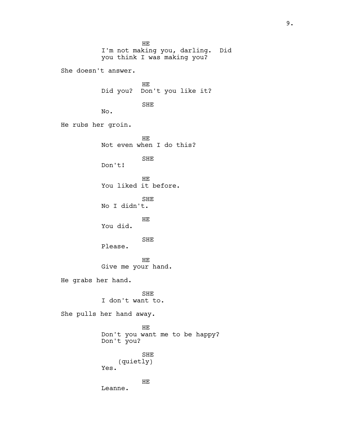HE I'm not making you, darling. Did you think I was making you? She doesn't answer. HE Did you? Don't you like it? SHE No. He rubs her groin. HE Not even when I do this? SHE Don't! HE You liked it before. SHE No I didn't. HE You did. SHE Please. HE Give me your hand. He grabs her hand. SHE I don't want to. She pulls her hand away. HE Don't you want me to be happy? Don't you? SHE (quietly) Yes. HE Leanne.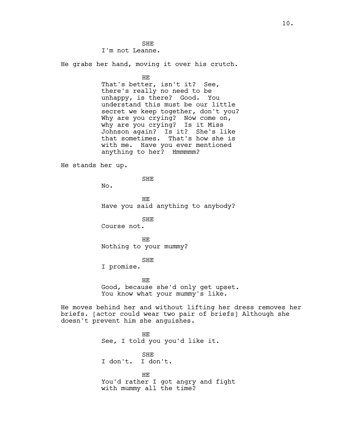SHE I'm not Leanne.

He grabs her hand, moving it over his crutch.

HE

That's better, isn't it? See, there's really no need to be unhappy, is there? Good. You understand this must be our little secret we keep together, don't you? Why are you crying? Now come on, why are you crying? Is it Miss Johnson again? Is it? She's like that sometimes. That's how she is with me. Have you ever mentioned anything to her? Hmmmmm?

He stands her up.

SHE

No.

HE Have you said anything to anybody?

SHE Course not.

HE Nothing to your mummy?

SHE

I promise.

HE Good, because she'd only get upset. You know what your mummy's like.

He moves behind her and without lifting her dress removes her briefs. [actor could wear two pair of briefs] Although she doesn't prevent him she anguishes.

> HE See, I told you you'd like it. SHE I don't. I don't. HE You'd rather I got angry and fight with mummy all the time?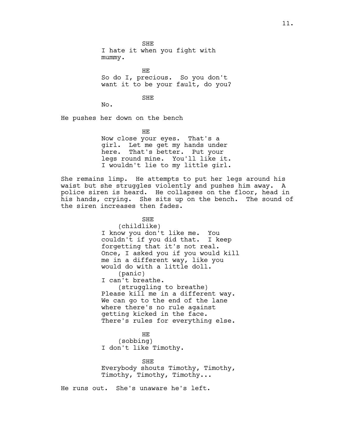SHE I hate it when you fight with mummy.

HE So do I, precious. So you don't want it to be your fault, do you?

SHE

No.

He pushes her down on the bench

HE Now close your eyes. That's a girl. Let me get my hands under here. That's better. Put your legs round mine. You'll like it. I wouldn't lie to my little girl.

She remains limp. He attempts to put her legs around his waist but she struggles violently and pushes him away. A police siren is heard. He collapses on the floor, head in his hands, crying. She sits up on the bench. The sound of the siren increases then fades.

> SHE (childlike) I know you don't like me. You couldn't if you did that. I keep forgetting that it's not real. Once, I asked you if you would kill me in a different way, like you would do with a little doll. (panic) I can't breathe. (struggling to breathe) Please kill me in a different way. We can go to the end of the lane where there's no rule against getting kicked in the face. There's rules for everything else.

HE (sobbing) I don't like Timothy.

SHE Everybody shouts Timothy, Timothy, Timothy, Timothy, Timothy...

He runs out. She's unaware he's left.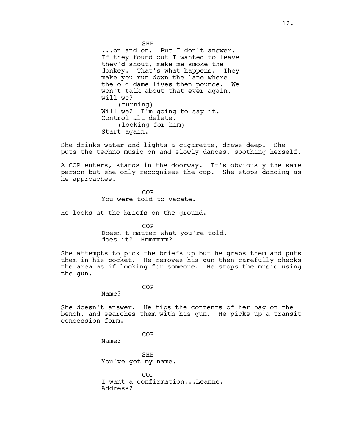SHE ...on and on. But I don't answer. If they found out I wanted to leave they'd shout, make me smoke the donkey. That's what happens. They make you run down the lane where the old dame lives then pounce. We won't talk about that ever again, will we? (turning) Will we? I'm going to say it. Control alt delete. (looking for him) Start again.

She drinks water and lights a cigarette, draws deep. She puts the techno music on and slowly dances, soothing herself.

A COP enters, stands in the doorway. It's obviously the same person but she only recognises the cop. She stops dancing as he approaches.

> **COP** You were told to vacate.

He looks at the briefs on the ground.

COP Doesn't matter what you're told, does it? Hmmmmmm?

She attempts to pick the briefs up but he grabs them and puts them in his pocket. He removes his gun then carefully checks the area as if looking for someone. He stops the music using the gun.

## COP

Name?

She doesn't answer. He tips the contents of her bag on the bench, and searches them with his gun. He picks up a transit concession form.

COP

Name?

SHE You've got my name.

COP I want a confirmation...Leanne. Address?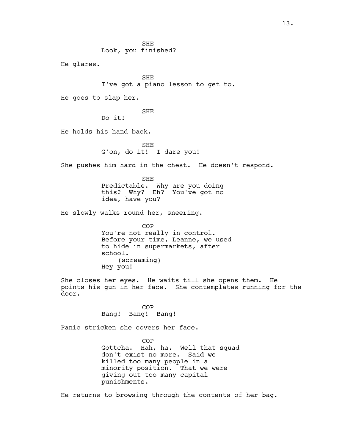He glares.

SHE I've got a piano lesson to get to.

He goes to slap her.

SHE

Do it!

He holds his hand back.

SHE G'on, do it! I dare you!

She pushes him hard in the chest. He doesn't respond.

SHE Predictable. Why are you doing this? Why? Eh? You've got no idea, have you?

He slowly walks round her, sneering.

COP You're not really in control. Before your time, Leanne, we used to hide in supermarkets, after school. (screaming) Hey you!

She closes her eyes. He waits till she opens them. He points his gun in her face. She contemplates running for the door.

> COP Bang! Bang! Bang!

Panic stricken she covers her face.

COP Gottcha. Hah, ha. Well that squad don't exist no more. Said we killed too many people in a minority position. That we were giving out too many capital punishments.

He returns to browsing through the contents of her bag.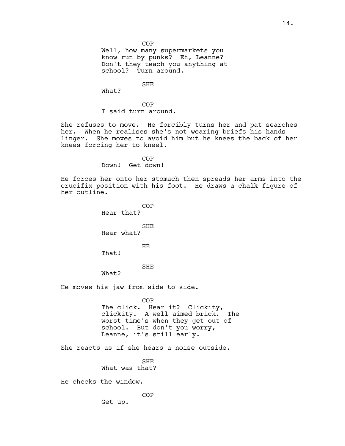COP

Well, how many supermarkets you know run by punks? Eh, Leanne? Don't they teach you anything at school? Turn around.

SHE

What?

COP I said turn around.

She refuses to move. He forcibly turns her and pat searches her. When he realises she's not wearing briefs his hands linger. She moves to avoid him but he knees the back of her knees forcing her to kneel.

> COP Down! Get down!

He forces her onto her stomach then spreads her arms into the crucifix position with his foot. He draws a chalk figure of her outline.

COP Hear that? SHE Hear what? HE That! SHE What? He moves his jaw from side to side. COP The click. Hear it? Clickity,<br>clickity. A well aimed brick. The clickity. A well aimed brick. worst time's when they get out of school. But don't you worry, Leanne, it's still early. She reacts as if she hears a noise outside. SHE What was that?

He checks the window.

COP

Get up.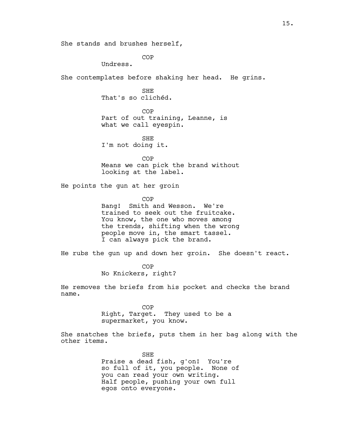She stands and brushes herself,

COP

Undress.

She contemplates before shaking her head. He grins.

SHE That's so clichéd.

COP Part of out training, Leanne, is what we call eyespin.

SHE I'm not doing it.

COP Means we can pick the brand without looking at the label.

He points the gun at her groin

COP

Bang! Smith and Wesson. We're trained to seek out the fruitcake. You know, the one who moves among the trends, shifting when the wrong people move in, the smart tassel. I can always pick the brand.

He rubs the gun up and down her groin. She doesn't react.

COP No Knickers, right?

He removes the briefs from his pocket and checks the brand name.

> COP Right, Target. They used to be a supermarket, you know.

She snatches the briefs, puts them in her bag along with the other items.

> SHE Praise a dead fish, g'on! You're so full of it, you people. None of you can read your own writing. Half people, pushing your own full egos onto everyone.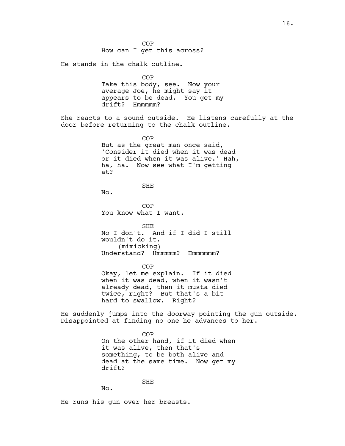16.

He stands in the chalk outline. COP Take this body, see. Now your average Joe, he might say it appears to be dead. You get my

**COP** How can I get this across?

drift? Hmmmmm?

She reacts to a sound outside. He listens carefully at the door before returning to the chalk outline.

> COP But as the great man once said, 'Consider it died when it was dead or it died when it was alive.' Hah, ha, ha. Now see what I'm getting at?

> > SHE

No.

COP You know what I want.

SHE No I don't. And if I did I still wouldn't do it. (mimicking) Understand? Hmmmmm? Hmmmmmm?

COP Okay, let me explain. If it died when it was dead, when it wasn't already dead, then it musta died twice, right? But that's a bit hard to swallow. Right?

He suddenly jumps into the doorway pointing the gun outside. Disappointed at finding no one he advances to her.

> COP On the other hand, if it died when it was alive, then that's something, to be both alive and dead at the same time. Now get my drift?

SHE

He runs his gun over her breasts.

No.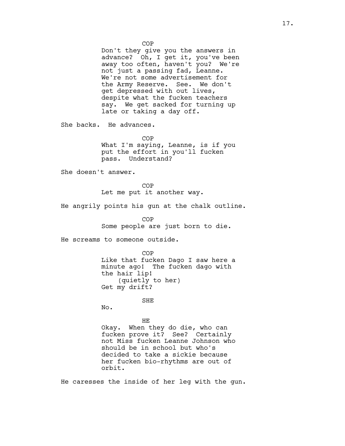COP Don't they give you the answers in advance? Oh, I get it, you've been away too often, haven't you? We're not just a passing fad, Leanne. We're not some advertisement for the Army Reserve. See. We don't get depressed with out lives, despite what the fucken teachers say. We get sacked for turning up late or taking a day off.

She backs. He advances.

COP What I'm saying, Leanne, is if you put the effort in you'll fucken

She doesn't answer.

COP Let me put it another way.

pass. Understand?

He angrily points his gun at the chalk outline.

COP Some people are just born to die.

He screams to someone outside.

COP Like that fucken Dago I saw here a minute ago! The fucken dago with the hair lip! (quietly to her) Get my drift?

SHE

No.

## HE

Okay. When they do die, who can fucken prove it? See? Certainly not Miss fucken Leanne Johnson who should be in school but who's decided to take a sickie because her fucken bio-rhythms are out of orbit.

He caresses the inside of her leg with the gun.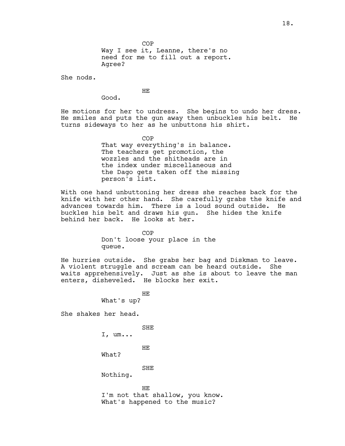COP Way I see it, Leanne, there's no need for me to fill out a report. Agree?

She nods.

HE

Good.

He motions for her to undress. She begins to undo her dress. He smiles and puts the gun away then unbuckles his belt. He turns sideways to her as he unbuttons his shirt.

COP

That way everything's in balance. The teachers get promotion, the wozzles and the shitheads are in the index under miscellaneous and the Dago gets taken off the missing person's list.

With one hand unbuttoning her dress she reaches back for the knife with her other hand. She carefully grabs the knife and advances towards him. There is a loud sound outside. He buckles his belt and draws his gun. She hides the knife behind her back. He looks at her.

> COP Don't loose your place in the queue.

He hurries outside. She grabs her bag and Diskman to leave. A violent struggle and scream can be heard outside. She waits apprehensively. Just as she is about to leave the man enters, disheveled. He blocks her exit.

> HE What's up?

She shakes her head.

SHE

I, um...

HE

What?

SHE

Nothing.

HE I'm not that shallow, you know. What's happened to the music?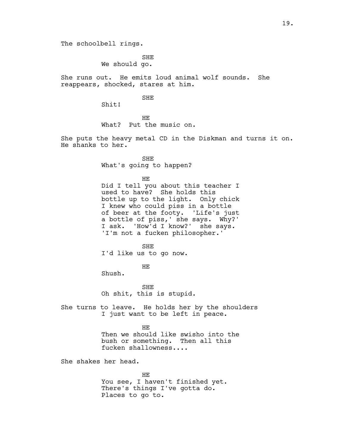The schoolbell rings.

SHE We should go.

She runs out. He emits loud animal wolf sounds. She reappears, shocked, stares at him.

## SHE

Shit!

HE What? Put the music on.

She puts the heavy metal CD in the Diskman and turns it on. He shanks to her.

> SHE What's going to happen?

> > HE

Did I tell you about this teacher I used to have? She holds this bottle up to the light. Only chick I knew who could piss in a bottle of beer at the footy. 'Life's just a bottle of piss,' she says. Why?' I ask. 'How'd I know?' she says. 'I'm not a fucken philosopher.'

SHE I'd like us to go now.

HE

Shush.

SHE Oh shit, this is stupid.

She turns to leave. He holds her by the shoulders I just want to be left in peace.

> HE Then we should like swisho into the bush or something. Then all this fucken shallowness....

She shakes her head.

HE You see, I haven't finished yet. There's things I've gotta do. Places to go to.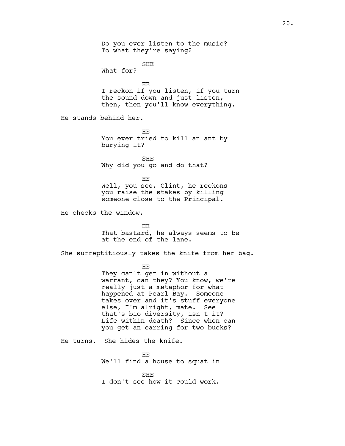Do you ever listen to the music? To what they're saying? SHE What for? HE I reckon if you listen, if you turn the sound down and just listen, then, then you'll know everything. He stands behind her. HE You ever tried to kill an ant by burying it? SHE Why did you go and do that? HE Well, you see, Clint, he reckons you raise the stakes by killing someone close to the Principal. He checks the window. HE That bastard, he always seems to be at the end of the lane. She surreptitiously takes the knife from her bag. HE They can't get in without a warrant, can they? You know, we're really just a metaphor for what happened at Pearl Bay. Someone takes over and it's stuff everyone else, I'm alright, mate. See that's bio diversity, isn't it? Life within death? Since when can you get an earring for two bucks? He turns. She hides the knife. HE We'll find a house to squat in SHE I don't see how it could work.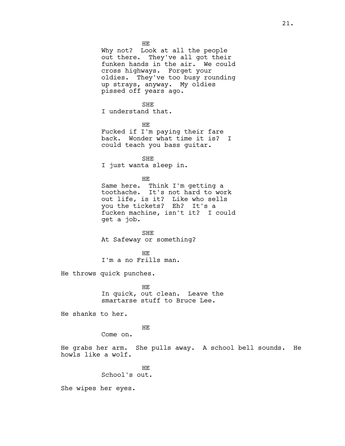HE Why not? Look at all the people out there. They've all got their funken hands in the air. We could cross highways. Forget your oldies. They've too busy rounding up strays, anyway. My oldies pissed off years ago. SHE I understand that. HE Fucked if I'm paying their fare back. Wonder what time it is? I could teach you bass guitar. SHE I just wanta sleep in. HE Same here. Think I'm getting a toothache. It's not hard to work out life, is it? Like who sells you the tickets? Eh? It's a

fucken machine, isn't it? I could get a job.

SHE At Safeway or something?

HE I'm a no Frills man.

He throws quick punches.

HE In quick, out clean. Leave the smartarse stuff to Bruce Lee.

He shanks to her.

HE

Come on.

He grabs her arm. She pulls away. A school bell sounds. He howls like a wolf.

> HE School's out.

She wipes her eyes.